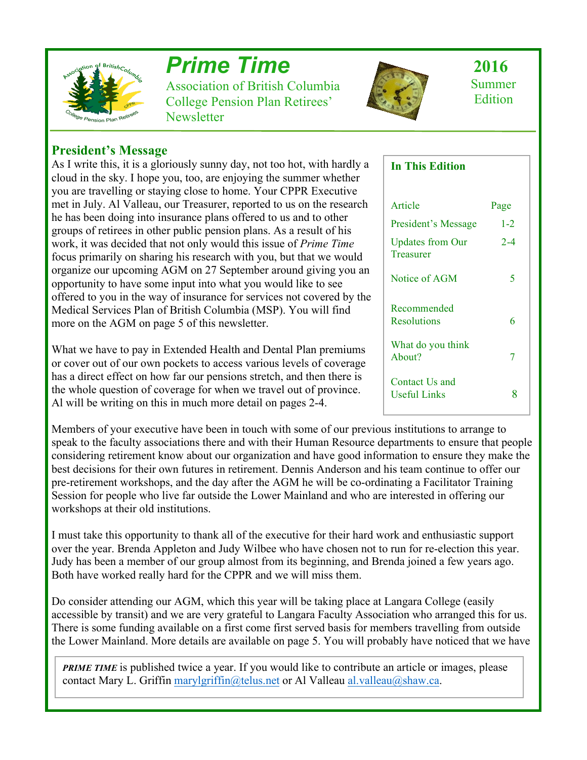

# *Prime Time*

Association of British Columbia College Pension Plan Retirees' **Newsletter** 



 **2016** Summer **Edition** 

# **President's Message**

As I write this, it is a gloriously sunny day, not too hot, with hardly a cloud in the sky. I hope you, too, are enjoying the summer whether you are travelling or staying close to home. Your CPPR Executive met in July. Al Valleau, our Treasurer, reported to us on the research he has been doing into insurance plans offered to us and to other groups of retirees in other public pension plans. As a result of his work, it was decided that not only would this issue of *Prime Time*  focus primarily on sharing his research with you, but that we would organize our upcoming AGM on 27 September around giving you an opportunity to have some input into what you would like to see offered to you in the way of insurance for services not covered by the Medical Services Plan of British Columbia (MSP). You will find more on the AGM on page 5 of this newsletter.

What we have to pay in Extended Health and Dental Plan premiums or cover out of our own pockets to access various levels of coverage has a direct effect on how far our pensions stretch, and then there is the whole question of coverage for when we travel out of province. Al will be writing on this in much more detail on pages 2-4.

Members of your executive have been in touch with some of our previous institutions to arrange to speak to the faculty associations there and with their Human Resource departments to ensure that people considering retirement know about our organization and have good information to ensure they make the best decisions for their own futures in retirement. Dennis Anderson and his team continue to offer our pre-retirement workshops, and the day after the AGM he will be co-ordinating a Facilitator Training Session for people who live far outside the Lower Mainland and who are interested in offering our workshops at their old institutions.

I must take this opportunity to thank all of the executive for their hard work and enthusiastic support over the year. Brenda Appleton and Judy Wilbee who have chosen not to run for re-election this year. Judy has been a member of our group almost from its beginning, and Brenda joined a few years ago. Both have worked really hard for the CPPR and we will miss them.

Do consider attending our AGM, which this year will be taking place at Langara College (easily accessible by transit) and we are very grateful to Langara Faculty Association who arranged this for us. There is some funding available on a first come first served basis for members travelling from outside the Lower Mainland. More details are available on page 5. You will probably have noticed that we have

*PRIME TIME* is published twice a year. If you would like to contribute an article or images, please contact Mary L. Griffin marylgriffin@telus.net or Al Valleau al.valleau@shaw.ca.

## **In This Edition**

| Article                               | Page    |
|---------------------------------------|---------|
| President's Message                   | $1 - 2$ |
| <b>Updates from Our</b><br>Treasurer  | $2 - 4$ |
| Notice of AGM                         | 5       |
| Recommended<br>Resolutions            | 6       |
| What do you think<br>About?           | 7       |
| Contact Us and<br><b>Useful Links</b> | 8       |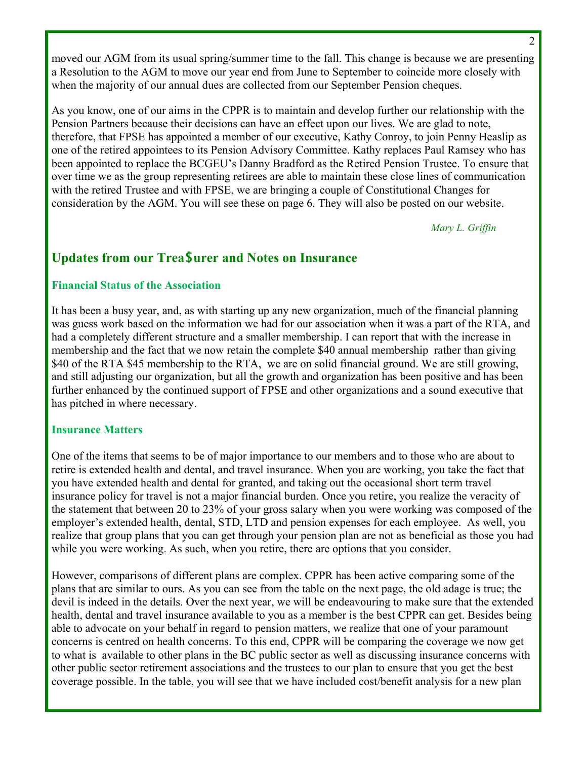moved our AGM from its usual spring/summer time to the fall. This change is because we are presenting a Resolution to the AGM to move our year end from June to September to coincide more closely with when the majority of our annual dues are collected from our September Pension cheques.

As you know, one of our aims in the CPPR is to maintain and develop further our relationship with the Pension Partners because their decisions can have an effect upon our lives. We are glad to note, therefore, that FPSE has appointed a member of our executive, Kathy Conroy, to join Penny Heaslip as one of the retired appointees to its Pension Advisory Committee. Kathy replaces Paul Ramsey who has been appointed to replace the BCGEU's Danny Bradford as the Retired Pension Trustee. To ensure that over time we as the group representing retirees are able to maintain these close lines of communication with the retired Trustee and with FPSE, we are bringing a couple of Constitutional Changes for consideration by the AGM. You will see these on page 6. They will also be posted on our website.

*Mary L. Griffin*

# **Updates from our Trea\$urer and Notes on Insurance**

## **Financial Status of the Association**

It has been a busy year, and, as with starting up any new organization, much of the financial planning was guess work based on the information we had for our association when it was a part of the RTA, and had a completely different structure and a smaller membership. I can report that with the increase in membership and the fact that we now retain the complete \$40 annual membership rather than giving \$40 of the RTA \$45 membership to the RTA, we are on solid financial ground. We are still growing, and still adjusting our organization, but all the growth and organization has been positive and has been further enhanced by the continued support of FPSE and other organizations and a sound executive that has pitched in where necessary.

#### **Insurance Matters**

One of the items that seems to be of major importance to our members and to those who are about to retire is extended health and dental, and travel insurance. When you are working, you take the fact that you have extended health and dental for granted, and taking out the occasional short term travel insurance policy for travel is not a major financial burden. Once you retire, you realize the veracity of the statement that between 20 to 23% of your gross salary when you were working was composed of the employer's extended health, dental, STD, LTD and pension expenses for each employee. As well, you realize that group plans that you can get through your pension plan are not as beneficial as those you had while you were working. As such, when you retire, there are options that you consider.

However, comparisons of different plans are complex. CPPR has been active comparing some of the plans that are similar to ours. As you can see from the table on the next page, the old adage is true; the devil is indeed in the details. Over the next year, we will be endeavouring to make sure that the extended health, dental and travel insurance available to you as a member is the best CPPR can get. Besides being able to advocate on your behalf in regard to pension matters, we realize that one of your paramount concerns is centred on health concerns. To this end, CPPR will be comparing the coverage we now get to what is available to other plans in the BC public sector as well as discussing insurance concerns with other public sector retirement associations and the trustees to our plan to ensure that you get the best coverage possible. In the table, you will see that we have included cost/benefit analysis for a new plan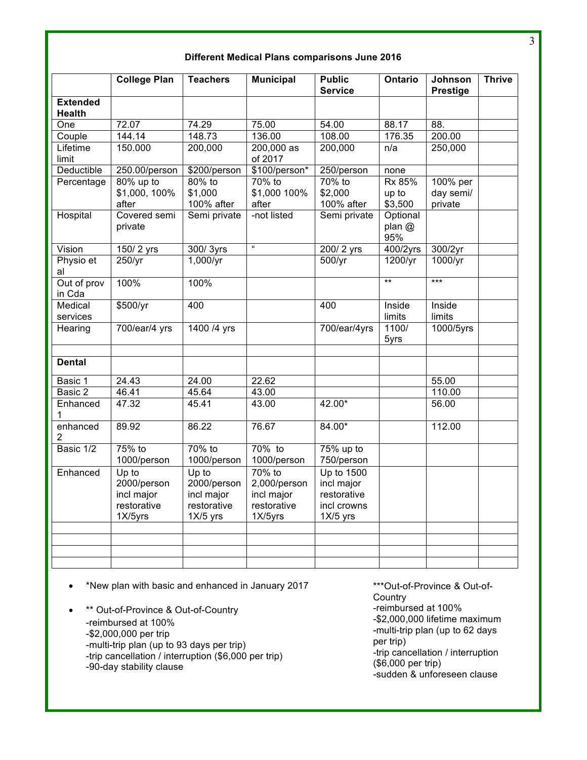| Different Medical Plans comparisons June 2016 |  |  |  |
|-----------------------------------------------|--|--|--|
|-----------------------------------------------|--|--|--|

|                            | <b>College Plan</b> | <b>Teachers</b>  | <b>Municipal</b> | <b>Public</b>     | Ontario         | Johnson         | <b>Thrive</b> |
|----------------------------|---------------------|------------------|------------------|-------------------|-----------------|-----------------|---------------|
| <b>Extended</b>            |                     |                  |                  | <b>Service</b>    |                 | <b>Prestige</b> |               |
| <b>Health</b>              |                     |                  |                  |                   |                 |                 |               |
| One                        | 72.07               | 74.29            | 75.00            | 54.00             | 88.17           | 88.             |               |
| Couple                     | 144.14              | 148.73           | 136.00           | 108.00            | 176.35          | 200.00          |               |
| Lifetime                   | 150.000             | 200,000          | $200,000$ as     | 200,000           | n/a             | 250,000         |               |
| limit                      |                     |                  | of 2017          |                   |                 |                 |               |
| Deductible                 | 250.00/person       | \$200/person     | \$100/person*    | 250/person        | none            |                 |               |
| Percentage                 | 80% up to           | 80% to           | 70% to           | 70% to            | Rx 85%          | 100% per        |               |
|                            | \$1,000, 100%       | \$1,000          | \$1,000 100%     | \$2,000           | up to           | day semi/       |               |
|                            | after               | 100% after       | after            | 100% after        | \$3,500         | private         |               |
| Hospital                   | Covered semi        | Semi private     | -not listed      | Semi private      | Optional        |                 |               |
|                            | private             |                  |                  |                   | plan @<br>95%   |                 |               |
| Vision                     | 150/2 yrs           | 300/3yrs         | $\alpha$         | 200/2 yrs         | 400/2yrs        | 300/2yr         |               |
| Physio et<br>al            | 250/yr              | $1,000/\gamma r$ |                  | 500/yr            | 1200/yr         | 1000/yr         |               |
| Out of prov                | 100%                | 100%             |                  |                   | $\overline{**}$ | $***$           |               |
| in Cda                     |                     |                  |                  |                   |                 |                 |               |
| Medical                    | \$500/yr            | 400              |                  | 400               | Inside          | Inside          |               |
| services                   |                     |                  |                  |                   | limits          | limits          |               |
| Hearing                    | 700/ear/4 yrs       | 1400 /4 yrs      |                  | 700/ear/4yrs      | 1100/<br>5yrs   | 1000/5yrs       |               |
|                            |                     |                  |                  |                   |                 |                 |               |
| <b>Dental</b>              |                     |                  |                  |                   |                 |                 |               |
| Basic 1                    | 24.43               | 24.00            | 22.62            |                   |                 | 55.00           |               |
| Basic 2                    | 46.41               | 45.64            | 43.00            |                   |                 | 110.00          |               |
| Enhanced<br>1              | 47.32               | 45.41            | 43.00            | 42.00*            |                 | 56.00           |               |
| enhanced<br>$\overline{2}$ | 89.92               | 86.22            | 76.67            | 84.00*            |                 | 112.00          |               |
| Basic 1/2                  | 75% to              | 70% to           | 70% to           | 75% up to         |                 |                 |               |
|                            | 1000/person         | 1000/person      | 1000/person      | 750/person        |                 |                 |               |
| Enhanced                   | Up to               | Up to            | $70%$ to         | <b>Up to 1500</b> |                 |                 |               |
|                            | 2000/person         | 2000/person      | 2,000/person     | incl major        |                 |                 |               |
|                            | incl major          | incl major       | incl major       | restorative       |                 |                 |               |
|                            | restorative         | restorative      | restorative      | incl crowns       |                 |                 |               |
|                            | 1X/5yrs             | $1X/5$ yrs       | 1X/5yrs          | $1X/5$ yrs        |                 |                 |               |
|                            |                     |                  |                  |                   |                 |                 |               |
|                            |                     |                  |                  |                   |                 |                 |               |
|                            |                     |                  |                  |                   |                 |                 |               |
|                            |                     |                  |                  |                   |                 |                 |               |

• \*New plan with basic and enhanced in January 2017

\*\* Out-of-Province & Out-of-Country -reimbursed at 100% -\$2,000,000 per trip -multi-trip plan (up to 93 days per trip) -trip cancellation / interruption (\$6,000 per trip) -90-day stability clause

\*\*\*Out-of-Province & Out-of-**Country** -reimbursed at 100% -\$2,000,000 lifetime maximum -multi-trip plan (up to 62 days per trip) -trip cancellation / interruption (\$6,000 per trip) -sudden & unforeseen clause

3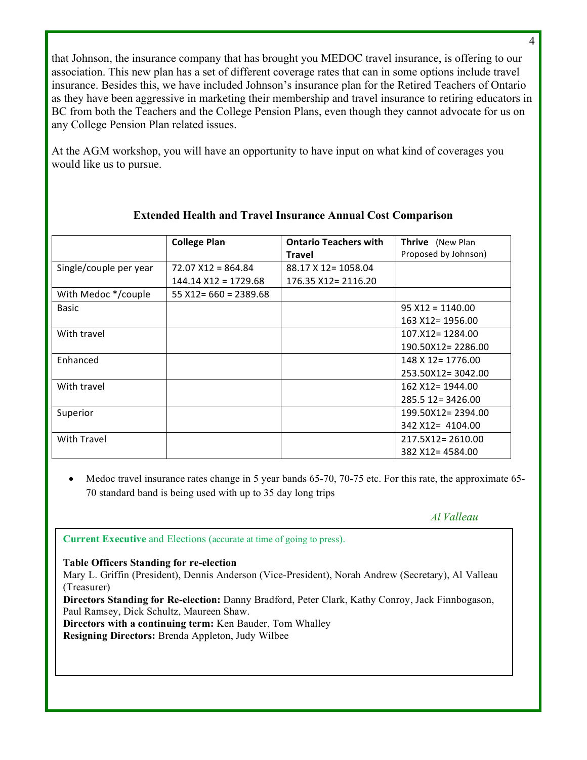that Johnson, the insurance company that has brought you MEDOC travel insurance, is offering to our association. This new plan has a set of different coverage rates that can in some options include travel insurance. Besides this, we have included Johnson's insurance plan for the Retired Teachers of Ontario as they have been aggressive in marketing their membership and travel insurance to retiring educators in BC from both the Teachers and the College Pension Plans, even though they cannot advocate for us on any College Pension Plan related issues.

At the AGM workshop, you will have an opportunity to have input on what kind of coverages you would like us to pursue.

|                        | <b>College Plan</b>      | <b>Ontario Teachers with</b> | <b>Thrive</b> (New Plan |
|------------------------|--------------------------|------------------------------|-------------------------|
|                        |                          | <b>Travel</b>                | Proposed by Johnson)    |
| Single/couple per year | $72.07$ $X12 = 864.84$   | 88.17 X 12 = 1058.04         |                         |
|                        | $144.14$ $X12 = 1729.68$ | 176.35 X12= 2116.20          |                         |
| With Medoc */couple    | $55 X12 = 660 = 2389.68$ |                              |                         |
| Basic                  |                          |                              | $95 X12 = 1140.00$      |
|                        |                          |                              | 163 X12 = 1956.00       |
| With travel            |                          |                              | $107. X12 = 1284.00$    |
|                        |                          |                              | 190.50X12=2286.00       |
| Enhanced               |                          |                              | 148 X 12 = 1776.00      |
|                        |                          |                              | 253.50X12=3042.00       |
| With travel            |                          |                              | 162 X12 = 1944.00       |
|                        |                          |                              | 285.5 12 = 3426.00      |
| Superior               |                          |                              | 199.50X12=2394.00       |
|                        |                          |                              | 342 X12= 4104.00        |
| <b>With Travel</b>     |                          |                              | $217.5X12 = 2610.00$    |
|                        |                          |                              | 382 X12= 4584.00        |

## **Extended Health and Travel Insurance Annual Cost Comparison**

Medoc travel insurance rates change in 5 year bands 65-70, 70-75 etc. For this rate, the approximate 65-70 standard band is being used with up to 35 day long trips

#### *Al Valleau*

**Current Executive** and Elections (accurate at time of going to press).

#### **Table Officers Standing for re-election**

Mary L. Griffin (President), Dennis Anderson (Vice-President), Norah Andrew (Secretary), Al Valleau (Treasurer)

**Directors Standing for Re-election:** Danny Bradford, Peter Clark, Kathy Conroy, Jack Finnbogason, Paul Ramsey, Dick Schultz, Maureen Shaw.

**Directors with a continuing term:** Ken Bauder, Tom Whalley

**Resigning Directors:** Brenda Appleton, Judy Wilbee

4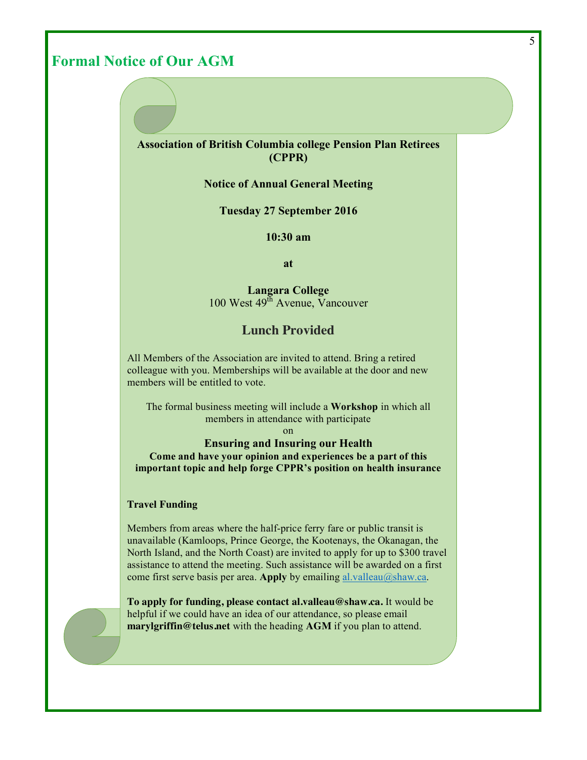# **Formal Notice of Our AGM**

#### **Association of British Columbia college Pension Plan Retirees (CPPR)**

#### **Notice of Annual General Meeting**

**Tuesday 27 September 2016**

**10:30 am**

**at**

**Langara College**  $100$  West  $49<sup>th</sup>$  Avenue, Vancouver

## **Lunch Provided**

All Members of the Association are invited to attend. Bring a retired colleague with you. Memberships will be available at the door and new members will be entitled to vote.

The formal business meeting will include a **Workshop** in which all members in attendance with participate

on

**Ensuring and Insuring our Health Come and have your opinion and experiences be a part of this important topic and help forge CPPR's position on health insurance**

#### **Travel Funding**

Members from areas where the half-price ferry fare or public transit is unavailable (Kamloops, Prince George, the Kootenays, the Okanagan, the North Island, and the North Coast) are invited to apply for up to \$300 travel assistance to attend the meeting. Such assistance will be awarded on a first come first serve basis per area. **Apply** by emailing al.valleau@shaw.ca.

**To apply for funding, please contact al.valleau@shaw.ca.** It would be helpful if we could have an idea of our attendance, so please email **marylgriffin@telus.net** with the heading **AGM** if you plan to attend.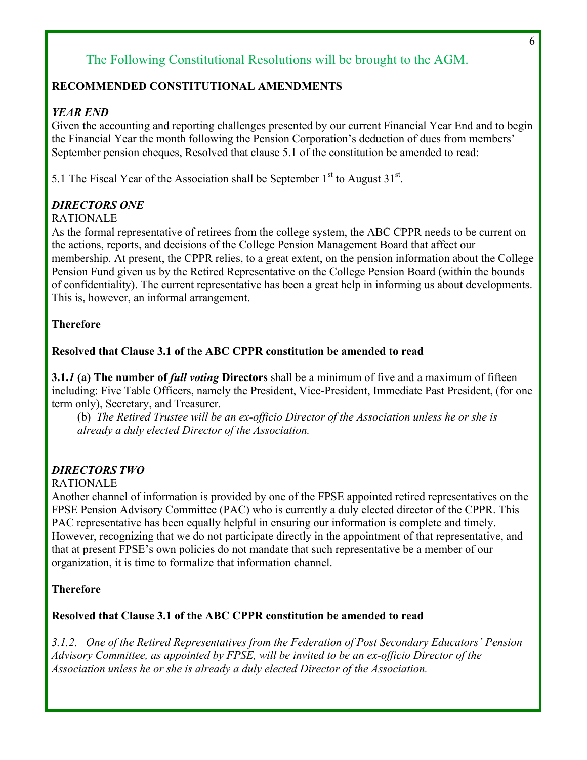# The Following Constitutional Resolutions will be brought to the AGM.

## **RECOMMENDED CONSTITUTIONAL AMENDMENTS**

## *YEAR END*

Given the accounting and reporting challenges presented by our current Financial Year End and to begin the Financial Year the month following the Pension Corporation's deduction of dues from members' September pension cheques, Resolved that clause 5.1 of the constitution be amended to read:

5.1 The Fiscal Year of the Association shall be September  $1<sup>st</sup>$  to August  $31<sup>st</sup>$ .

## *DIRECTORS ONE*

#### RATIONALE

As the formal representative of retirees from the college system, the ABC CPPR needs to be current on the actions, reports, and decisions of the College Pension Management Board that affect our membership. At present, the CPPR relies, to a great extent, on the pension information about the College Pension Fund given us by the Retired Representative on the College Pension Board (within the bounds of confidentiality). The current representative has been a great help in informing us about developments. This is, however, an informal arrangement.

## **Therefore**

## **Resolved that Clause 3.1 of the ABC CPPR constitution be amended to read**

**3.1.***1* **(a) The number of** *full voting* **Directors** shall be a minimum of five and a maximum of fifteen including: Five Table Officers, namely the President, Vice-President, Immediate Past President, (for one term only), Secretary, and Treasurer.

(b) *The Retired Trustee will be an ex-officio Director of the Association unless he or she is already a duly elected Director of the Association.*

## *DIRECTORS TWO*

#### RATIONALE

Another channel of information is provided by one of the FPSE appointed retired representatives on the FPSE Pension Advisory Committee (PAC) who is currently a duly elected director of the CPPR. This PAC representative has been equally helpful in ensuring our information is complete and timely. However, recognizing that we do not participate directly in the appointment of that representative, and that at present FPSE's own policies do not mandate that such representative be a member of our organization, it is time to formalize that information channel.

#### **Therefore**

#### **Resolved that Clause 3.1 of the ABC CPPR constitution be amended to read**

*3.1.2. One of the Retired Representatives from the Federation of Post Secondary Educators' Pension Advisory Committee, as appointed by FPSE, will be invited to be an ex-officio Director of the Association unless he or she is already a duly elected Director of the Association.*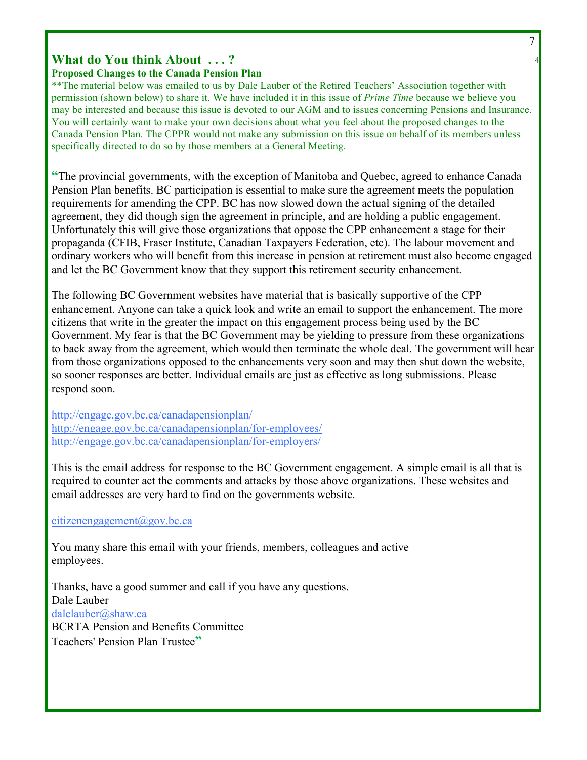#### 7

4

# **What do You think About . . . ?**

## **Proposed Changes to the Canada Pension Plan**

\*\*The material below was emailed to us by Dale Lauber of the Retired Teachers' Association together with permission (shown below) to share it. We have included it in this issue of *Prime Time* because we believe you may be interested and because this issue is devoted to our AGM and to issues concerning Pensions and Insurance. You will certainly want to make your own decisions about what you feel about the proposed changes to the Canada Pension Plan. The CPPR would not make any submission on this issue on behalf of its members unless specifically directed to do so by those members at a General Meeting.

**"**The provincial governments, with the exception of Manitoba and Quebec, agreed to enhance Canada Pension Plan benefits. BC participation is essential to make sure the agreement meets the population requirements for amending the CPP. BC has now slowed down the actual signing of the detailed agreement, they did though sign the agreement in principle, and are holding a public engagement. Unfortunately this will give those organizations that oppose the CPP enhancement a stage for their propaganda (CFIB, Fraser Institute, Canadian Taxpayers Federation, etc). The labour movement and ordinary workers who will benefit from this increase in pension at retirement must also become engaged and let the BC Government know that they support this retirement security enhancement.

The following BC Government websites have material that is basically supportive of the CPP enhancement. Anyone can take a quick look and write an email to support the enhancement. The more citizens that write in the greater the impact on this engagement process being used by the BC Government. My fear is that the BC Government may be yielding to pressure from these organizations to back away from the agreement, which would then terminate the whole deal. The government will hear from those organizations opposed to the enhancements very soon and may then shut down the website, so sooner responses are better. Individual emails are just as effective as long submissions. Please respond soon.

http://engage.gov.bc.ca/canadapensionplan/ http://engage.gov.bc.ca/canadapensionplan/for-employees/ http://engage.gov.bc.ca/canadapensionplan/for-employers/

This is the email address for response to the BC Government engagement. A simple email is all that is required to counter act the comments and attacks by those above organizations. These websites and email addresses are very hard to find on the governments website.

citizenengagement@gov.bc.ca

You many share this email with your friends, members, colleagues and active employees.

Thanks, have a good summer and call if you have any questions. Dale Lauber dalelauber@shaw.ca BCRTA Pension and Benefits Committee Teachers' Pension Plan Trustee**"**